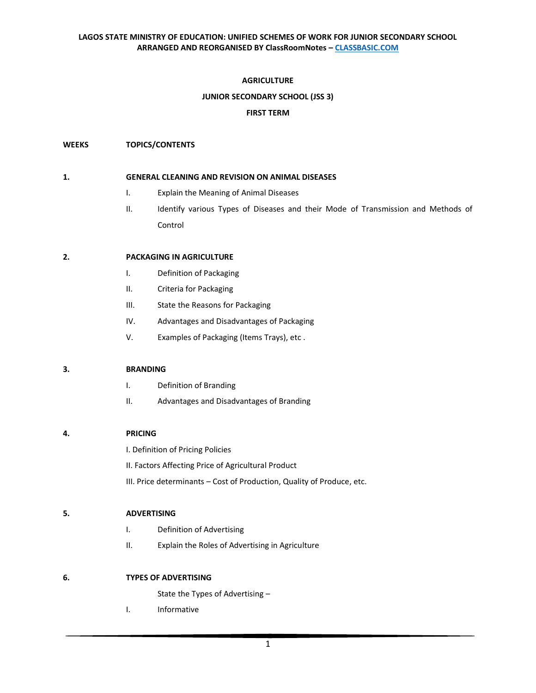### **AGRICULTURE**

## **JUNIOR SECONDARY SCHOOL (JSS 3)**

### **FIRST TERM**

### **WEEKS TOPICS/CONTENTS**

#### **1. GENERAL CLEANING AND REVISION ON ANIMAL DISEASES**

- I. Explain the Meaning of Animal Diseases
- II. Identify various Types of Diseases and their Mode of Transmission and Methods of Control

### **2. PACKAGING IN AGRICULTURE**

- I. Definition of Packaging
- II. Criteria for Packaging
- III. State the Reasons for Packaging
- IV. Advantages and Disadvantages of Packaging
- V. Examples of Packaging (Items Trays), etc .

### **3. BRANDING**

- I. Definition of Branding
- II. Advantages and Disadvantages of Branding

# **4. PRICING**

I. Definition of Pricing Policies

II. Factors Affecting Price of Agricultural Product

III. Price determinants – Cost of Production, Quality of Produce, etc.

### **5. ADVERTISING**

- I. Definition of Advertising
- II. Explain the Roles of Advertising in Agriculture

### **6. TYPES OF ADVERTISING**

State the Types of Advertising –

I. Informative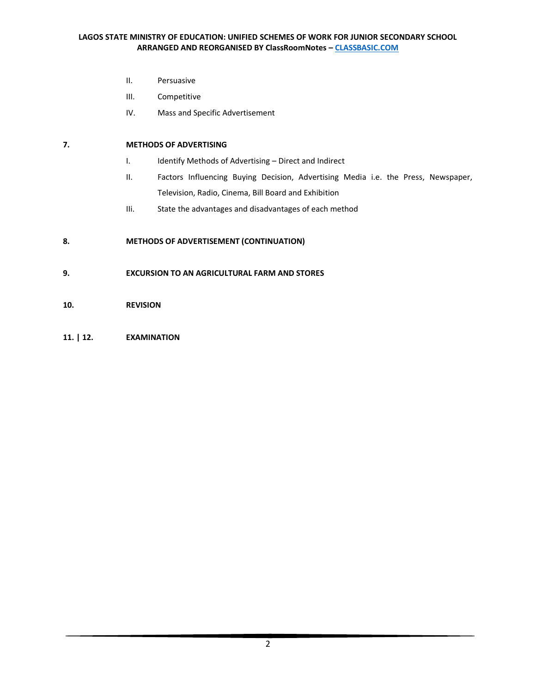- II. Persuasive
- III. Competitive
- IV. Mass and Specific Advertisement

# **7. METHODS OF ADVERTISING**

- I. Identify Methods of Advertising Direct and Indirect
- II. Factors Influencing Buying Decision, Advertising Media i.e. the Press, Newspaper, Television, Radio, Cinema, Bill Board and Exhibition
- IIi. State the advantages and disadvantages of each method

# **8. METHODS OF ADVERTISEMENT (CONTINUATION)**

- **9. EXCURSION TO AN AGRICULTURAL FARM AND STORES**
- **10. REVISION**
- **11. | 12. EXAMINATION**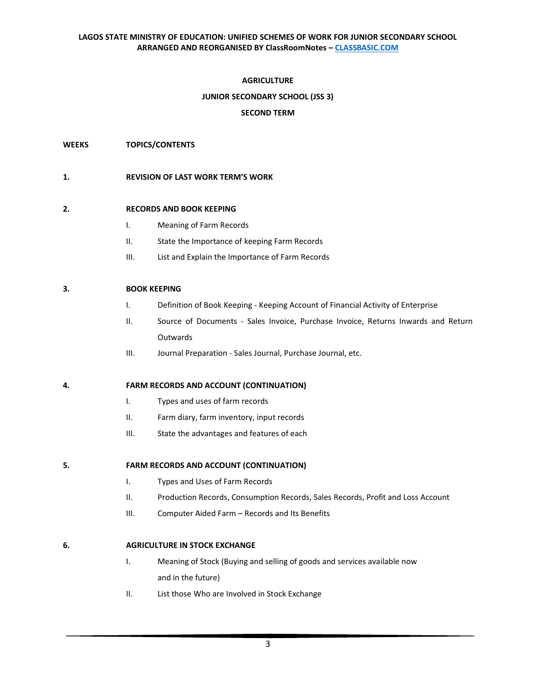## **AGRICULTURE**

## **JUNIOR SECONDARY SCHOOL (JSS 3)**

### **SECOND TERM**

### **WEEKS TOPICS/CONTENTS**

### **1. REVISION OF LAST WORK TERM'S WORK**

### **2. RECORDS AND BOOK KEEPING**

- I. Meaning of Farm Records
- II. State the Importance of keeping Farm Records
- III. List and Explain the Importance of Farm Records

### **3. BOOK KEEPING**

- I. Definition of Book Keeping Keeping Account of Financial Activity of Enterprise
- II. Source of Documents Sales Invoice, Purchase Invoice, Returns Inwards and Return Outwards
- III. Journal Preparation Sales Journal, Purchase Journal, etc.

### **4. FARM RECORDS AND ACCOUNT (CONTINUATION)**

- I. Types and uses of farm records
- II. Farm diary, farm inventory, input records
- III. State the advantages and features of each

# **5. FARM RECORDS AND ACCOUNT (CONTINUATION)**

- I. Types and Uses of Farm Records
- II. Production Records, Consumption Records, Sales Records, Profit and Loss Account
- III. Computer Aided Farm Records and Its Benefits

### **6. AGRICULTURE IN STOCK EXCHANGE**

- I. Meaning of Stock (Buying and selling of goods and services available now and in the future)
- II. List those Who are Involved in Stock Exchange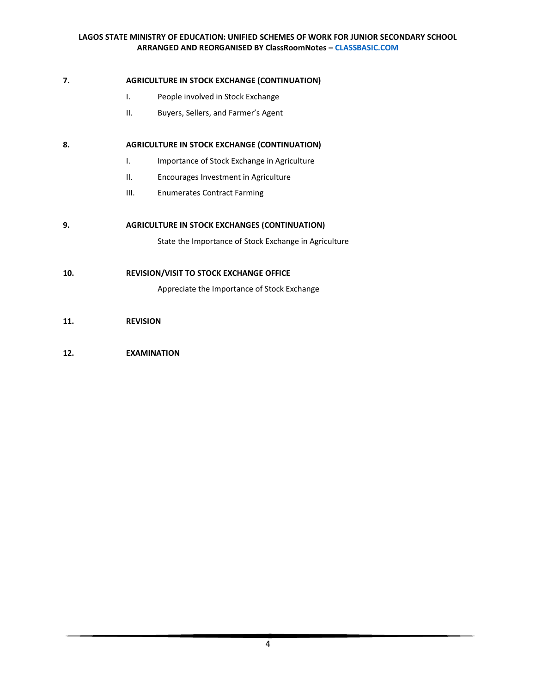## **7. AGRICULTURE IN STOCK EXCHANGE (CONTINUATION)**

- I. People involved in Stock Exchange
- II. Buyers, Sellers, and Farmer's Agent

## 8. **AGRICULTURE IN STOCK EXCHANGE (CONTINUATION)**

- I. Importance of Stock Exchange in Agriculture
- II. Encourages Investment in Agriculture
- III. Enumerates Contract Farming

### **9. AGRICULTURE IN STOCK EXCHANGES (CONTINUATION)**

State the Importance of Stock Exchange in Agriculture

## **10. REVISION/VISIT TO STOCK EXCHANGE OFFICE**

Appreciate the Importance of Stock Exchange

## **11. REVISION**

## **12. EXAMINATION**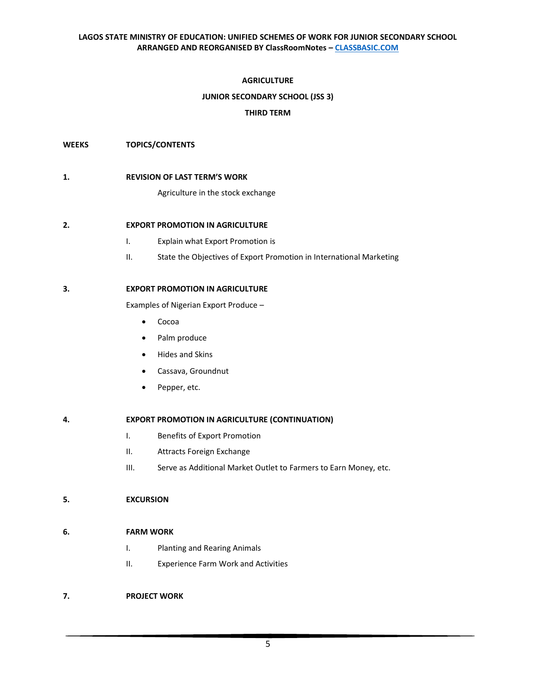## **AGRICULTURE**

## **JUNIOR SECONDARY SCHOOL (JSS 3)**

### **THIRD TERM**

#### **WEEKS TOPICS/CONTENTS**

#### **1. REVISION OF LAST TERM'S WORK**

Agriculture in the stock exchange

### **2. EXPORT PROMOTION IN AGRICULTURE**

- I. Explain what Export Promotion is
- II. State the Objectives of Export Promotion in International Marketing

## **3. EXPORT PROMOTION IN AGRICULTURE**

Examples of Nigerian Export Produce –

- Cocoa
- Palm produce
- Hides and Skins
- Cassava, Groundnut
- Pepper, etc.

### **4. EXPORT PROMOTION IN AGRICULTURE (CONTINUATION)**

- I. Benefits of Export Promotion
- II. Attracts Foreign Exchange
- III. Serve as Additional Market Outlet to Farmers to Earn Money, etc.

### **5. EXCURSION**

### **6. FARM WORK**

- I. Planting and Rearing Animals
- II. Experience Farm Work and Activities

### **7. PROJECT WORK**